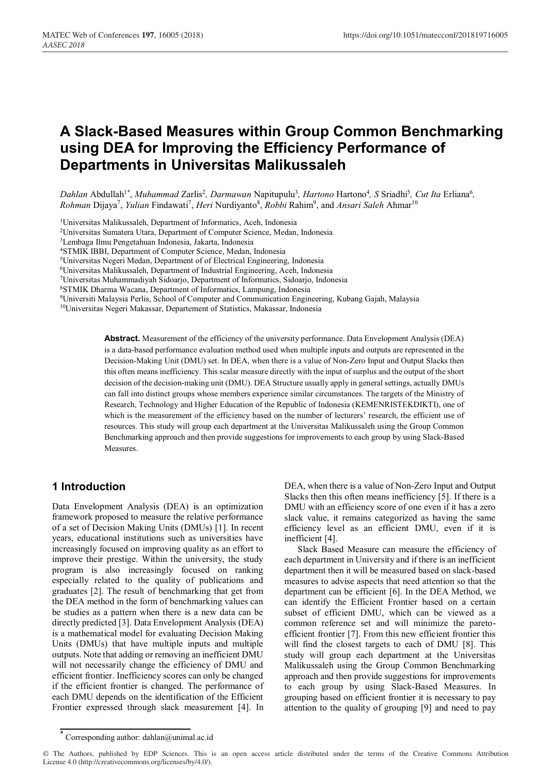# **A Slack-Based Measures within Group Common Benchmarking using DEA for Improving the Efficiency Performance of Departments in Universitas Malikussaleh**

Dahlan Abdullah<sup>1\*</sup>, *Muhammad Zarlis<sup>2</sup>, Darmawan Napitupulu<sup>3</sup>, Hartono* Hartono<sup>4</sup>, *S* Sriadhi<sup>5</sup>, *Cut Ita* Erliana<sup>6</sup>, *Rohman* Dijaya7 , *Yulian* Findawati7 , *Heri* Nurdiyanto8 , *Robbi* Rahim9 , and *Ansari Saleh* Ahmar10

1Universitas Malikussaleh, Department of Informatics, Aceh, Indonesia

2Universitas Sumatera Utara, Department of Computer Science, Medan, Indonesia

3Lembaga Ilmu Pengetahuan Indonesia, Jakarta, Indonesia

4STMIK IBBI, Department of Computer Science, Medan, Indonesia

5Universitas Negeri Medan, Department of of Electrical Engineering, Indonesia

6Universitas Malikussaleh, Department of Industrial Engineering, Aceh, Indonesia

7Universitas Muhammadiyah Sidoarjo, Department of Informatics, Sidoarjo, Indonesia

8STMIK Dharma Wacana, Department of Informatics, Lampung, Indonesia

9Universiti Malaysia Perlis, School of Computer and Communication Engineering, Kubang Gajah, Malaysia

10Universitas Negeri Makassar, Departement of Statistics, Makassar, Indonesia

**Abstract.** Measurement of the efficiency of the university performance. Data Envelopment Analysis (DEA) is a data-based performance evaluation method used when multiple inputs and outputs are represented in the Decision-Making Unit (DMU) set. In DEA, when there is a value of Non-Zero Input and Output Slacks then this often means inefficiency. This scalar measure directly with the input of surplus and the output of the short decision of the decision-making unit (DMU). DEA Structure usually apply in general settings, actually DMUs can fall into distinct groups whose members experience similar circumstances. The targets of the Ministry of Research, Technology and Higher Education of the Republic of Indonesia (KEMENRISTEKDIKTI), one of which is the measurement of the efficiency based on the number of lecturers' research, the efficient use of resources. This study will group each department at the Universitas Malikussaleh using the Group Common Benchmarking approach and then provide suggestions for improvements to each group by using Slack-Based Measures.

### **1 Introduction**

Data Envelopment Analysis (DEA) is an optimization framework proposed to measure the relative performance of a set of Decision Making Units (DMUs) [1]. In recent years, educational institutions such as universities have increasingly focused on improving quality as an effort to improve their prestige. Within the university, the study program is also increasingly focused on ranking especially related to the quality of publications and graduates [2]. The result of benchmarking that get from the DEA method in the form of benchmarking values can be studies as a pattern when there is a new data can be directly predicted [3]. Data Envelopment Analysis (DEA) is a mathematical model for evaluating Decision Making Units (DMUs) that have multiple inputs and multiple outputs. Note that adding or removing an inefficient DMU will not necessarily change the efficiency of DMU and efficient frontier. Inefficiency scores can only be changed if the efficient frontier is changed. The performance of each DMU depends on the identification of the Efficient Frontier expressed through slack measurement [4]. In DEA, when there is a value of Non-Zero Input and Output Slacks then this often means inefficiency [5]. If there is a DMU with an efficiency score of one even if it has a zero slack value, it remains categorized as having the same efficiency level as an efficient DMU, even if it is inefficient [4].

Slack Based Measure can measure the efficiency of each department in University and if there is an inefficient department then it will be measured based on slack-based measures to advise aspects that need attention so that the department can be efficient [6]. In the DEA Method, we can identify the Efficient Frontier based on a certain subset of efficient DMU, which can be viewed as a common reference set and will minimize the paretoefficient frontier [7]. From this new efficient frontier this will find the closest targets to each of DMU [8]. This study will group each department at the Universitas Malikussaleh using the Group Common Benchmarking approach and then provide suggestions for improvements to each group by using Slack-Based Measures. In grouping based on efficient frontier it is necessary to pay attention to the quality of grouping [9] and need to pay

Corresponding author: dahlan@unimal.ac.id

<sup>©</sup> The Authors, published by EDP Sciences. This is an open access article distributed under the terms of the Creative Commons Attribution License 4.0 (http://creativecommons.org/licenses/by/4.0/).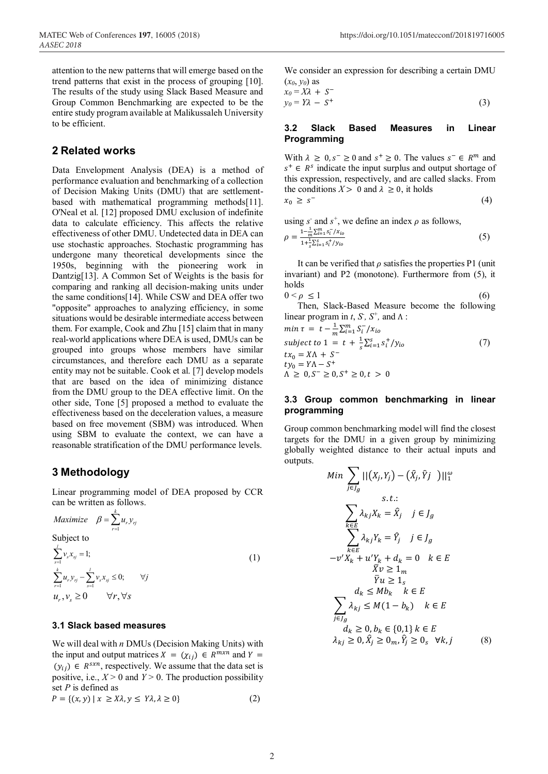attention to the new patterns that will emerge based on the trend patterns that exist in the process of grouping [10]. The results of the study using Slack Based Measure and Group Common Benchmarking are expected to be the entire study program available at Malikussaleh University to be efficient.

# **2 Related works**

Data Envelopment Analysis (DEA) is a method of performance evaluation and benchmarking of a collection of Decision Making Units (DMU) that are settlementbased with mathematical programming methods[11]. O'Neal et al. [12] proposed DMU exclusion of indefinite data to calculate efficiency. This affects the relative effectiveness of other DMU. Undetected data in DEA can use stochastic approaches. Stochastic programming has undergone many theoretical developments since the 1950s, beginning with the pioneering work in Dantzig[13]. A Common Set of Weights is the basis for comparing and ranking all decision-making units under the same conditions[14]. While CSW and DEA offer two "opposite" approaches to analyzing efficiency, in some situations would be desirable intermediate access between them. For example, Cook and Zhu [15] claim that in many real-world applications where DEA is used, DMUs can be grouped into groups whose members have similar circumstances, and therefore each DMU as a separate entity may not be suitable. Cook et al. [7] develop models that are based on the idea of minimizing distance from the DMU group to the DEA effective limit. On the other side, Tone [5] proposed a method to evaluate the effectiveness based on the deceleration values, a measure based on free movement (SBM) was introduced. When using SBM to evaluate the context, we can have a reasonable stratification of the DMU performance levels.

# **3 Methodology**

Linear programming model of DEA proposed by CCR can be written as follows.

1 *k Maximize*  $\beta = \sum u_r y_r$ *r* =

Subject to

$$
\sum_{s=1}^{l} v_s x_{sj} = 1; \n\sum_{r=1}^{k} u_r y_{rj} - \sum_{s=1}^{l} v_s x_{sj} \le 0; \qquad \forall j \n u_r, v_s \ge 0 \qquad \forall r, \forall s
$$
\n(1)

### **3.1 Slack based measures**

We will deal with *n* DMUs (Decision Making Units) with the input and output matrices  $X = (\chi_{ii}) \in R^{m \times n}$  and  $Y =$  $(y_{ij}) \in R^{sxn}$ , respectively. We assume that the data set is positive, i.e.,  $X > 0$  and  $Y > 0$ . The production possibility set *P* is defined as

$$
P = \{(x, y) \mid x \ge X\lambda, y \le Y\lambda, \lambda \ge 0\}
$$
 (2)

We consider an expression for describing a certain DMU (*x0*, *y0*) as

$$
x_0 = X\lambda + S^-
$$
  
\n
$$
y_0 = Y\lambda - S^+
$$
\n(3)

### **3.2 Slack Based Measures in Linear Programming**

With  $\lambda \geq 0$ ,  $s^- \geq 0$  and  $s^+ \geq 0$ . The values  $s^- \in R^m$  and  $s^+ \in \mathbb{R}^s$  indicate the input surplus and output shortage of this expression, respectively, and are called slacks. From the conditions  $X > 0$  and  $\lambda \ge 0$ , it holds

$$
x_0 \geq s^- \tag{4}
$$

using *s* and  $s^+$ , we define an index  $\rho$  as follows,

$$
\rho = \frac{1 - \frac{1}{m} \sum_{i=1}^{m} s_i^- / x_{io}}{1 + \frac{1}{s} \sum_{i=1}^{s} s_i^+ / y_{io}} \tag{5}
$$

It can be verified that  $\rho$  satisfies the properties P1 (unit invariant) and P2 (monotone). Furthermore from (5), it holds

$$
0 < \rho \le 1 \tag{6}
$$

Then, Slack-Based Measure become the following linear program in *t*,  $S^{\dagger}$ ,  $S^{\dagger}$ , and  $\Lambda$ :

$$
\min \tau = t - \frac{1}{m} \sum_{i=1}^{m} S_i^- / x_{io}
$$
\n
$$
\text{subject to } 1 = t + \frac{1}{s} \sum_{i=1}^{s} s_i^+ / y_{io}
$$
\n
$$
\text{tx}_0 = X\Lambda + S^-
$$
\n
$$
\text{ty}_0 = Y\Lambda - S^+
$$
\n
$$
\Lambda \ge 0, S^- \ge 0, S^+ \ge 0, t > 0
$$
\n
$$
(7)
$$

### **3.3 Group common benchmarking in linear programming**

Group common benchmarking model will find the closest targets for the DMU in a given group by minimizing globally weighted distance to their actual inputs and outputs.

Min 
$$
\sum_{j \in J_g} ||(X_j, Y_j) - (\hat{X}_j, \hat{Y}_j)||_1^{\omega}
$$
  
s.t.:  

$$
\sum_{k \in E} \lambda_{kj} X_k = \hat{X}_j \quad j \in J_g
$$
  

$$
-\nu' X_k + u' Y_k + d_k = 0 \quad k \in E
$$
  

$$
\overline{X}_v \ge 1_m
$$
  

$$
d_k \le Mb_k \quad k \in E
$$
  

$$
\sum_{j \in J_g} \lambda_{kj} \le M(1 - b_k) \quad k \in E
$$
  

$$
d_k \ge 0, b_k \in \{0, 1\} \quad k \in E
$$
  

$$
\lambda_{kj} \ge 0, \hat{X}_j \ge 0_m, \hat{Y}_j \ge 0_s \quad \forall k, j
$$
 (8)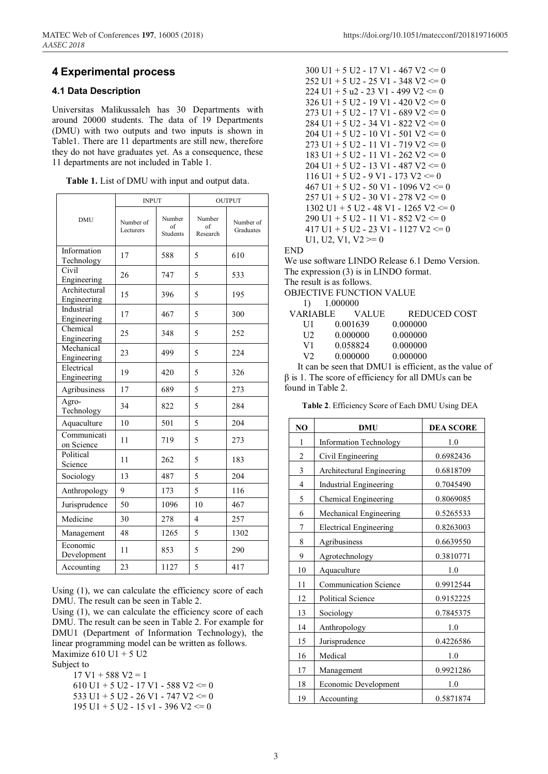# **4 Experimental process**

### **4.1 Data Description**

Universitas Malikussaleh has 30 Departments with around 20000 students. The data of 19 Departments (DMU) with two outputs and two inputs is shown in Table1. There are 11 departments are still new, therefore they do not have graduates yet. As a consequence, these 11 departments are not included in Table 1.

|                              | <b>INPUT</b>           |                          | <b>OUTPUT</b>            |                        |
|------------------------------|------------------------|--------------------------|--------------------------|------------------------|
| <b>DMU</b>                   | Number of<br>Lecturers | Number<br>of<br>Students | Number<br>of<br>Research | Number of<br>Graduates |
| Information<br>Technology    | 17                     | 588                      | 5                        | 610                    |
| Civil<br>Engineering         | 26                     | 747                      | 5                        | 533                    |
| Architectural<br>Engineering | 15                     | 396                      | 5                        | 195                    |
| Industrial<br>Engineering    | 17                     | 467                      | 5                        | 300                    |
| Chemical<br>Engineering      | 25                     | 348                      | 5                        | 252                    |
| Mechanical<br>Engineering    | 23                     | 499                      | 5                        | 224                    |
| Electrical<br>Engineering    | 19                     | 420                      | 5                        | 326                    |
| Agribusiness                 | 17                     | 689                      | 5                        | 273                    |
| Agro-<br>Technology          | 34                     | 822                      | 5                        | 284                    |
| Aquaculture                  | 10                     | 501                      | 5                        | 204                    |
| Communicati<br>on Science    | 11                     | 719                      | 5                        | 273                    |
| Political<br>Science         | 11                     | 262                      | 5                        | 183                    |
| Sociology                    | 13                     | 487                      | 5                        | 204                    |
| Anthropology                 | 9                      | 173                      | 5                        | 116                    |
| Jurisprudence                | 50                     | 1096                     | 10                       | 467                    |
| Medicine                     | 30                     | 278                      | $\overline{4}$           | 257                    |
| Management                   | 48                     | 1265                     | 5                        | 1302                   |
| Economic<br>Development      | 11                     | 853                      | 5                        | 290                    |
| Accounting                   | 23                     | 1127                     | 5                        | 417                    |

**Table 1.** List of DMU with input and output data.

Using (1), we can calculate the efficiency score of each DMU. The result can be seen in Table 2.

Using (1), we can calculate the efficiency score of each DMU. The result can be seen in Table 2. For example for DMU1 (Department of Information Technology), the linear programming model can be written as follows. Maximize  $610$  U1 + 5 U2 Subject to

 $17 \text{ V}1 + 588 \text{ V}2 = 1$ 610 U1 + 5 U2 - 17 V1 - 588 V2  $\leq$  0 533 U1 + 5 U2 - 26 V1 - 747 V2 <= 0 195 U1 + 5 U2 - 15 v1 - 396 V2 <= 0

### END

We use software LINDO Release 6.1 Demo Version. The expression (3) is in LINDO format. The result is as follows. OBJECTIVE FUNCTION VALUE

| 1)             | 1.000000 |              |                                                    |
|----------------|----------|--------------|----------------------------------------------------|
| VARIABLE       |          | <b>VALUE</b> | <b>REDUCED COST</b>                                |
| UI             | 0.001639 | 0.000000     |                                                    |
| U2             | 0.000000 | 0.000000     |                                                    |
| V1             | 0.058824 | 0.000000     |                                                    |
| V <sub>2</sub> | 0.000000 | 0.000000     |                                                    |
|                |          |              | It can be seen that DMU1 is efficient as the value |

It can be seen that DMU1 is efficient, as the value of  $β$  is 1. The score of efficiency for all DMUs can be found in Table 2.

**Table 2**. Efficiency Score of Each DMU Using DEA

| NO | DMU                           | <b>DEA SCORE</b> |  |
|----|-------------------------------|------------------|--|
| 1  | <b>Information Technology</b> | 1.0              |  |
| 2  | Civil Engineering             | 0.6982436        |  |
| 3  | Architectural Engineering     | 0.6818709        |  |
| 4  | Industrial Engineering        | 0.7045490        |  |
| 5  | Chemical Engineering          | 0.8069085        |  |
| 6  | Mechanical Engineering        | 0.5265533        |  |
| 7  | <b>Electrical Engineering</b> | 0.8263003        |  |
| 8  | Agribusiness                  | 0.6639550        |  |
| 9  | Agrotechnology                | 0.3810771        |  |
| 10 | Aquaculture                   | 1.0              |  |
| 11 | <b>Communication Science</b>  | 0.9912544        |  |
| 12 | <b>Political Science</b>      | 0.9152225        |  |
| 13 | Sociology                     | 0.7845375        |  |
| 14 | Anthropology                  | 1.0              |  |
| 15 | Jurisprudence                 | 0.4226586        |  |
| 16 | Medical                       | 1.0              |  |
| 17 | Management                    | 0.9921286        |  |
| 18 | Economic Development          | 1.0              |  |
| 19 | Accounting                    | 0.5871874        |  |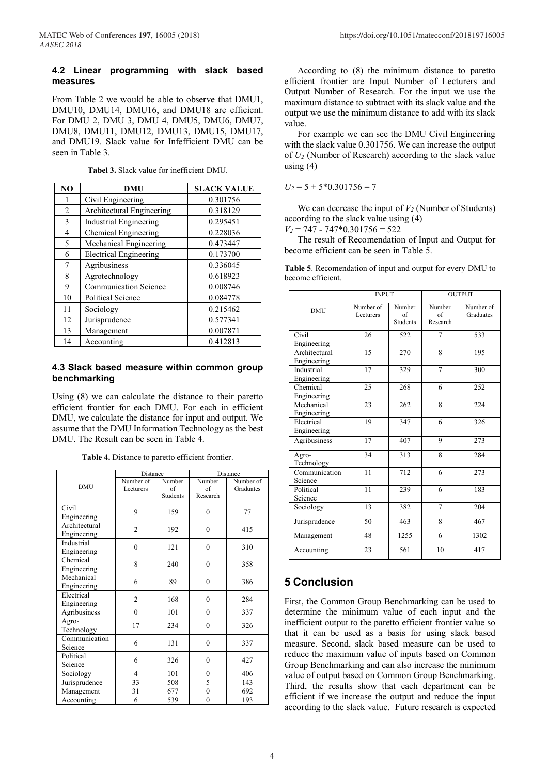### **4.2 Linear programming with slack based measures**

From Table 2 we would be able to observe that DMU1, DMU10, DMU14, DMU16, and DMU18 are efficient. For DMU 2, DMU 3, DMU 4, DMU5, DMU6, DMU7, DMU8, DMU11, DMU12, DMU13, DMU15, DMU17, and DMU19. Slack value for Infefficient DMU can be seen in Table 3.

**Tabel 3.** Slack value for inefficient DMU.

| N <sub>O</sub> | DMU                           | <b>SLACK VALUE</b> |
|----------------|-------------------------------|--------------------|
| 1              | Civil Engineering             | 0.301756           |
| 2              | Architectural Engineering     | 0.318129           |
| 3              | <b>Industrial Engineering</b> | 0.295451           |
| 4              | Chemical Engineering          | 0.228036           |
| 5              | Mechanical Engineering        | 0.473447           |
| 6              | <b>Electrical Engineering</b> | 0.173700           |
| 7              | Agribusiness                  | 0.336045           |
| 8              | Agrotechnology                | 0.618923           |
| 9              | <b>Communication Science</b>  | 0.008746           |
| 10             | <b>Political Science</b>      | 0.084778           |
| 11             | Sociology                     | 0.215462           |
| 12             | Jurisprudence                 | 0.577341           |
| 13             | Management                    | 0.007871           |
| 14             | Accounting                    | 0.412813           |

### **4.3 Slack based measure within common group benchmarking**

Using (8) we can calculate the distance to their paretto efficient frontier for each DMU. For each in efficient DMU, we calculate the distance for input and output. We assume that the DMU Information Technology as the best DMU. The Result can be seen in Table 4.

|                           | Distance               |                 | Distance         |                        |
|---------------------------|------------------------|-----------------|------------------|------------------------|
| <b>DMU</b>                | Number of<br>Lecturers | Number<br>of    | Number<br>of     | Number of<br>Graduates |
|                           |                        | <b>Students</b> | Research         |                        |
| Civil                     | 9                      | 159             | $\boldsymbol{0}$ | 77                     |
| Engineering               |                        |                 |                  |                        |
| Architectural             | $\overline{2}$         | 192             | $\theta$         | 415                    |
| Engineering               |                        |                 |                  |                        |
| Industrial<br>Engineering | $\theta$               | 121             | $\theta$         | 310                    |
| Chemical                  | 8                      | 240             | $\theta$         |                        |
| Engineering               |                        |                 |                  | 358                    |
| Mechanical                | 6                      | 89              | $\theta$         | 386                    |
| Engineering               |                        |                 |                  |                        |
| Electrical                | $\overline{2}$         | 168             | $\theta$         | 284                    |
| Engineering               |                        |                 |                  |                        |
| Agribusiness              | $\theta$               | 101             | $\theta$         | 337                    |
| Agro-                     | 17                     | 234             | $\theta$         | 326                    |
| Technology                |                        |                 |                  |                        |
| Communication             | 6                      | 131             | $\theta$         | 337                    |
| Science                   |                        |                 |                  |                        |
| Political                 | 6                      | 326             | $\mathbf{0}$     | 427                    |
| Science                   |                        |                 |                  |                        |
| Sociology                 | 4                      | 101             | $\boldsymbol{0}$ | 406                    |
| Jurisprudence             | 33                     | 508             | 5                | 143                    |
| Management                | 31                     | 677             | $\boldsymbol{0}$ | 692                    |
| Accounting                | 6                      | 539             | $\theta$         | 193                    |

**Table 4.** Distance to paretto efficient frontier.

According to (8) the minimum distance to paretto efficient frontier are Input Number of Lecturers and Output Number of Research. For the input we use the maximum distance to subtract with its slack value and the output we use the minimum distance to add with its slack value.

For example we can see the DMU Civil Engineering with the slack value 0.301756. We can increase the output of *U2* (Number of Research) according to the slack value using  $(4)$ 

 $U_2 = 5 + 5*0.301756 = 7$ 

We can decrease the input of  $V_2$  (Number of Students) according to the slack value using (4)

 $V_2$  = 747 - 747 \* 0.301756 = 522

The result of Recomendation of Input and Output for become efficient can be seen in Table 5.

**Table 5**. Recomendation of input and output for every DMU to become efficient.

|                              | <b>INPUT</b>           |                                         | <b>OUTPUT</b>            |                        |
|------------------------------|------------------------|-----------------------------------------|--------------------------|------------------------|
| <b>DMU</b>                   | Number of<br>Lecturers | Number<br>$\alpha$ f<br><b>Students</b> | Number<br>of<br>Research | Number of<br>Graduates |
| Civil<br>Engineering         | 26                     | 522                                     | $\overline{7}$           | 533                    |
| Architectural<br>Engineering | 15                     | 270                                     | 8                        | 195                    |
| Industrial<br>Engineering    | 17                     | 329                                     | $\overline{7}$           | 300                    |
| Chemical<br>Engineering      | 25                     | 268                                     | 6                        | 252                    |
| Mechanical<br>Engineering    | 23                     | 262                                     | 8                        | 224                    |
| Electrical<br>Engineering    | 19                     | 347                                     | 6                        | 326                    |
| Agribusiness                 | 17                     | 407                                     | 9                        | 273                    |
| Agro-<br>Technology          | 34                     | 313                                     | 8                        | 284                    |
| Communication<br>Science     | 11                     | 712                                     | 6                        | 273                    |
| Political<br>Science         | 11                     | 239                                     | 6                        | 183                    |
| Sociology                    | 13                     | 382                                     | 7                        | 204                    |
| Jurisprudence                | 50                     | 463                                     | 8                        | 467                    |
| Management                   | 48                     | 1255                                    | 6                        | 1302                   |
| Accounting                   | 23                     | 561                                     | 10                       | 417                    |

# **5 Conclusion**

First, the Common Group Benchmarking can be used to determine the minimum value of each input and the inefficient output to the paretto efficient frontier value so that it can be used as a basis for using slack based measure. Second, slack based measure can be used to reduce the maximum value of inputs based on Common Group Benchmarking and can also increase the minimum value of output based on Common Group Benchmarking. Third, the results show that each department can be efficient if we increase the output and reduce the input according to the slack value. Future research is expected